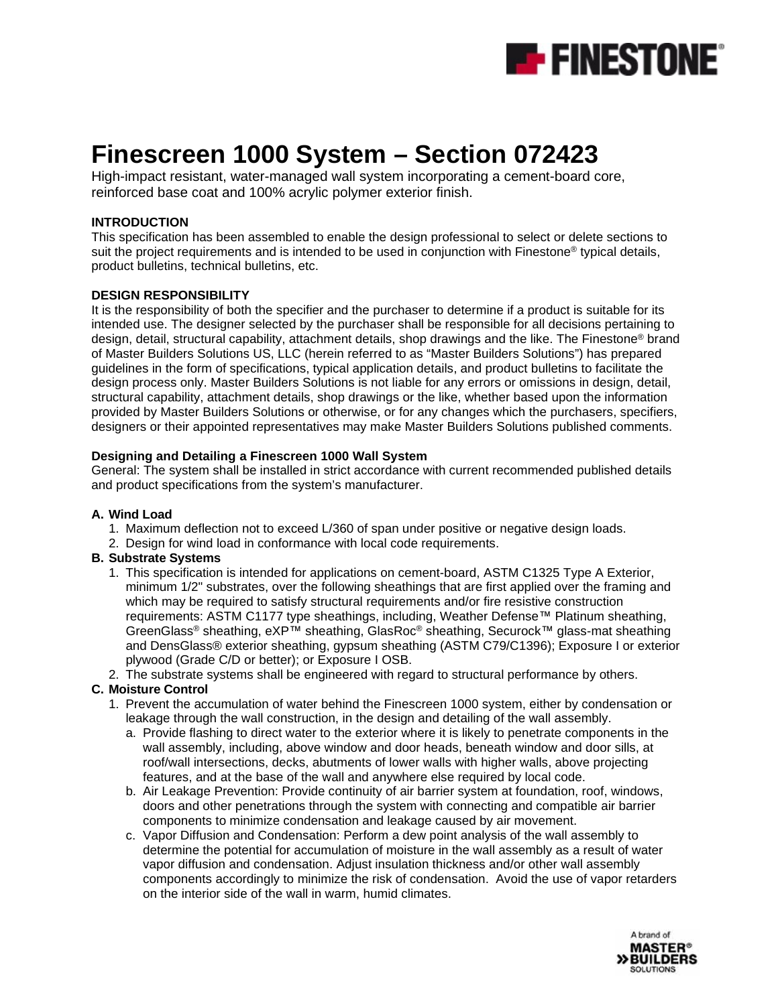

# **Finescreen 1000 System – Section 072423**

High-impact resistant, water-managed wall system incorporating a cement-board core, reinforced base coat and 100% acrylic polymer exterior finish.

#### **INTRODUCTION**

This specification has been assembled to enable the design professional to select or delete sections to suit the project requirements and is intended to be used in conjunction with Finestone<sup>®</sup> typical details, product bulletins, technical bulletins, etc.

#### **DESIGN RESPONSIBILITY**

It is the responsibility of both the specifier and the purchaser to determine if a product is suitable for its intended use. The designer selected by the purchaser shall be responsible for all decisions pertaining to design, detail, structural capability, attachment details, shop drawings and the like. The Finestone® brand of Master Builders Solutions US, LLC (herein referred to as "Master Builders Solutions") has prepared guidelines in the form of specifications, typical application details, and product bulletins to facilitate the design process only. Master Builders Solutions is not liable for any errors or omissions in design, detail, structural capability, attachment details, shop drawings or the like, whether based upon the information provided by Master Builders Solutions or otherwise, or for any changes which the purchasers, specifiers, designers or their appointed representatives may make Master Builders Solutions published comments.

#### **Designing and Detailing a Finescreen 1000 Wall System**

General: The system shall be installed in strict accordance with current recommended published details and product specifications from the system's manufacturer.

#### **A. Wind Load**

- 1. Maximum deflection not to exceed L/360 of span under positive or negative design loads.
- 2. Design for wind load in conformance with local code requirements.

#### **B. Substrate Systems**

- 1. This specification is intended for applications on cement-board, ASTM C1325 Type A Exterior, minimum 1/2" substrates, over the following sheathings that are first applied over the framing and which may be required to satisfy structural requirements and/or fire resistive construction requirements: ASTM C1177 type sheathings, including, Weather Defense™ Platinum sheathing, GreenGlass® sheathing, eXP™ sheathing, GlasRoc® sheathing, Securock™ glass-mat sheathing and DensGlass® exterior sheathing, gypsum sheathing (ASTM C79/C1396); Exposure I or exterior plywood (Grade C/D or better); or Exposure I OSB.
- 2. The substrate systems shall be engineered with regard to structural performance by others.

#### **C. Moisture Control**

- 1. Prevent the accumulation of water behind the Finescreen 1000 system, either by condensation or leakage through the wall construction, in the design and detailing of the wall assembly.
	- a. Provide flashing to direct water to the exterior where it is likely to penetrate components in the wall assembly, including, above window and door heads, beneath window and door sills, at roof/wall intersections, decks, abutments of lower walls with higher walls, above projecting features, and at the base of the wall and anywhere else required by local code.
	- b. Air Leakage Prevention: Provide continuity of air barrier system at foundation, roof, windows, doors and other penetrations through the system with connecting and compatible air barrier components to minimize condensation and leakage caused by air movement.
	- c. Vapor Diffusion and Condensation: Perform a dew point analysis of the wall assembly to determine the potential for accumulation of moisture in the wall assembly as a result of water vapor diffusion and condensation. Adjust insulation thickness and/or other wall assembly components accordingly to minimize the risk of condensation. Avoid the use of vapor retarders on the interior side of the wall in warm, humid climates.

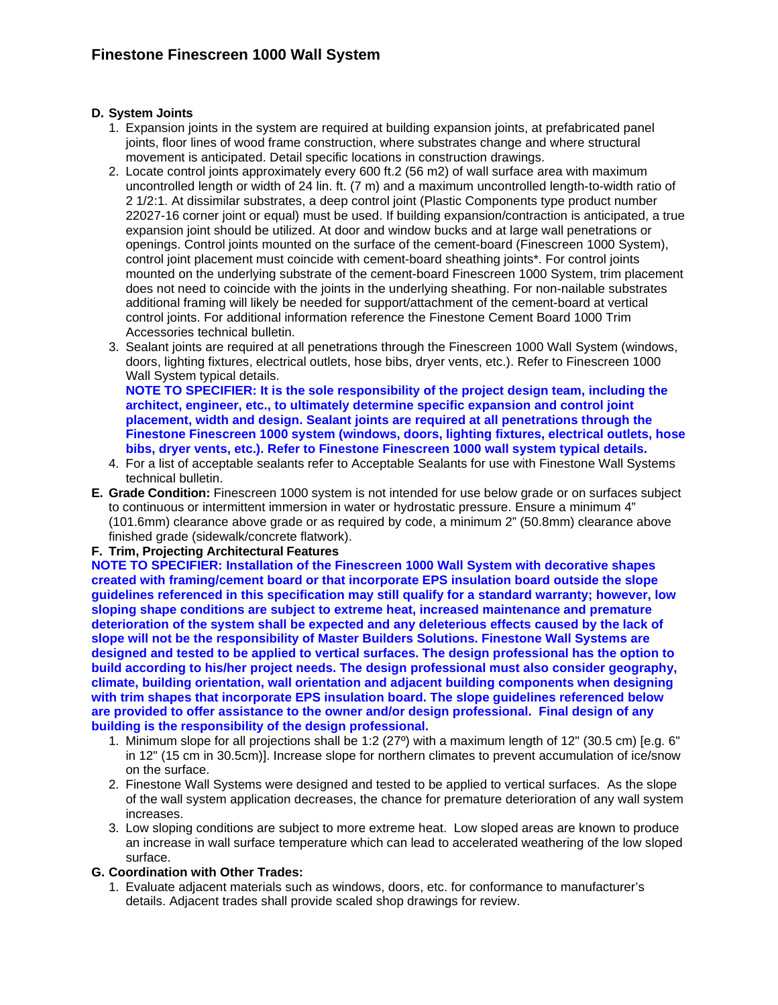### **D. System Joints**

- 1. Expansion joints in the system are required at building expansion joints, at prefabricated panel joints, floor lines of wood frame construction, where substrates change and where structural movement is anticipated. Detail specific locations in construction drawings.
- 2. Locate control joints approximately every 600 ft.2 (56 m2) of wall surface area with maximum uncontrolled length or width of 24 lin. ft. (7 m) and a maximum uncontrolled length-to-width ratio of 2 1/2:1. At dissimilar substrates, a deep control joint (Plastic Components type product number 22027-16 corner joint or equal) must be used. If building expansion/contraction is anticipated, a true expansion joint should be utilized. At door and window bucks and at large wall penetrations or openings. Control joints mounted on the surface of the cement-board (Finescreen 1000 System), control joint placement must coincide with cement-board sheathing joints\*. For control joints mounted on the underlying substrate of the cement-board Finescreen 1000 System, trim placement does not need to coincide with the joints in the underlying sheathing. For non-nailable substrates additional framing will likely be needed for support/attachment of the cement-board at vertical control joints. For additional information reference the Finestone Cement Board 1000 Trim Accessories technical bulletin.
- 3. Sealant joints are required at all penetrations through the Finescreen 1000 Wall System (windows, doors, lighting fixtures, electrical outlets, hose bibs, dryer vents, etc.). Refer to Finescreen 1000 Wall System typical details.

**NOTE TO SPECIFIER: It is the sole responsibility of the project design team, including the architect, engineer, etc., to ultimately determine specific expansion and control joint placement, width and design. Sealant joints are required at all penetrations through the Finestone Finescreen 1000 system (windows, doors, lighting fixtures, electrical outlets, hose bibs, dryer vents, etc.). Refer to Finestone Finescreen 1000 wall system typical details.**

- 4. For a list of acceptable sealants refer to Acceptable Sealants for use with Finestone Wall Systems technical bulletin.
- **E. Grade Condition:** Finescreen 1000 system is not intended for use below grade or on surfaces subject to continuous or intermittent immersion in water or hydrostatic pressure. Ensure a minimum 4" (101.6mm) clearance above grade or as required by code, a minimum 2" (50.8mm) clearance above finished grade (sidewalk/concrete flatwork).

#### **F. Trim, Projecting Architectural Features**

**NOTE TO SPECIFIER: Installation of the Finescreen 1000 Wall System with decorative shapes created with framing/cement board or that incorporate EPS insulation board outside the slope guidelines referenced in this specification may still qualify for a standard warranty; however, low sloping shape conditions are subject to extreme heat, increased maintenance and premature deterioration of the system shall be expected and any deleterious effects caused by the lack of slope will not be the responsibility of Master Builders Solutions. Finestone Wall Systems are designed and tested to be applied to vertical surfaces. The design professional has the option to build according to his/her project needs. The design professional must also consider geography, climate, building orientation, wall orientation and adjacent building components when designing with trim shapes that incorporate EPS insulation board. The slope guidelines referenced below are provided to offer assistance to the owner and/or design professional. Final design of any building is the responsibility of the design professional.** 

- 1. Minimum slope for all projections shall be 1:2 (27º) with a maximum length of 12" (30.5 cm) [e.g. 6" in 12" (15 cm in 30.5cm)]. Increase slope for northern climates to prevent accumulation of ice/snow on the surface.
- 2. Finestone Wall Systems were designed and tested to be applied to vertical surfaces. As the slope of the wall system application decreases, the chance for premature deterioration of any wall system increases.
- 3. Low sloping conditions are subject to more extreme heat. Low sloped areas are known to produce an increase in wall surface temperature which can lead to accelerated weathering of the low sloped surface.

#### **G. Coordination with Other Trades:**

1. Evaluate adjacent materials such as windows, doors, etc. for conformance to manufacturer's details. Adjacent trades shall provide scaled shop drawings for review.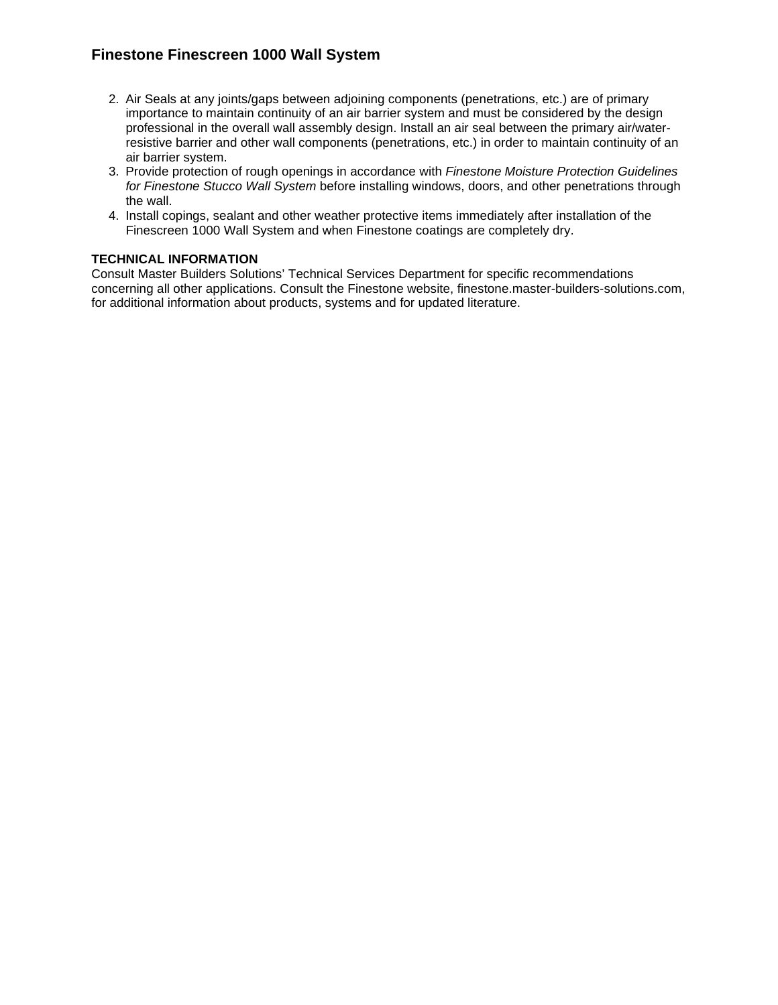- 2. Air Seals at any joints/gaps between adjoining components (penetrations, etc.) are of primary importance to maintain continuity of an air barrier system and must be considered by the design professional in the overall wall assembly design. Install an air seal between the primary air/waterresistive barrier and other wall components (penetrations, etc.) in order to maintain continuity of an air barrier system.
- 3. Provide protection of rough openings in accordance with *Finestone Moisture Protection Guidelines for Finestone Stucco Wall System* before installing windows, doors, and other penetrations through the wall.
- 4. Install copings, sealant and other weather protective items immediately after installation of the Finescreen 1000 Wall System and when Finestone coatings are completely dry.

### **TECHNICAL INFORMATION**

Consult Master Builders Solutions' Technical Services Department for specific recommendations concerning all other applications. Consult the Finestone website, finestone.master-builders-solutions.com, for additional information about products, systems and for updated literature.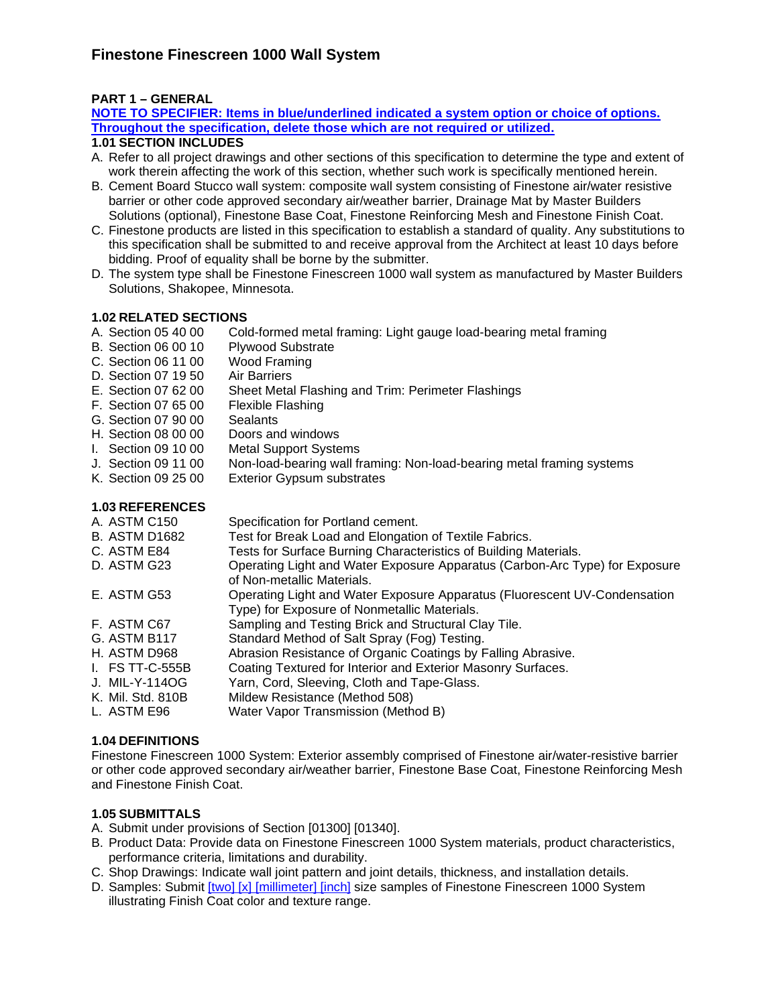### **PART 1 – GENERAL**

**NOTE TO SPECIFIER: Items in blue/underlined indicated a system option or choice of options. Throughout the specification, delete those which are not required or utilized.** 

# **1.01 SECTION INCLUDES**

- A. Refer to all project drawings and other sections of this specification to determine the type and extent of work therein affecting the work of this section, whether such work is specifically mentioned herein.
- B. Cement Board Stucco wall system: composite wall system consisting of Finestone air/water resistive barrier or other code approved secondary air/weather barrier, Drainage Mat by Master Builders Solutions (optional), Finestone Base Coat, Finestone Reinforcing Mesh and Finestone Finish Coat.
- C. Finestone products are listed in this specification to establish a standard of quality. Any substitutions to this specification shall be submitted to and receive approval from the Architect at least 10 days before bidding. Proof of equality shall be borne by the submitter.
- D. The system type shall be Finestone Finescreen 1000 wall system as manufactured by Master Builders Solutions, Shakopee, Minnesota.

### **1.02 RELATED SECTIONS**

- A. Section 05 40 00 Cold-formed metal framing: Light gauge load-bearing metal framing
- B. Section 06 00 10 Plywood Substrate
- C. Section 06 11 00 Wood Framing
- D. Section 07 19 50 Air Barriers<br>E. Section 07 62 00 Sheet Metal
- Sheet Metal Flashing and Trim: Perimeter Flashings
- F. Section 07 65 00 Flexible Flashing
- 
- G. Section 07 90 00 Sealants<br>H. Section 08 00 00 Doors and windows H. Section 08 00 00
- I. Section 09 10 00 Metal Support Systems
- J. Section 09 11 00 Non-load-bearing wall framing: Non-load-bearing metal framing systems
- K. Section 09 25 00 Exterior Gypsum substrates

#### **1.03 REFERENCES**

| A. ASTM C150         | Specification for Portland cement.                                                                                        |
|----------------------|---------------------------------------------------------------------------------------------------------------------------|
| <b>B. ASTM D1682</b> | Test for Break Load and Elongation of Textile Fabrics.                                                                    |
| C. ASTM E84          | Tests for Surface Burning Characteristics of Building Materials.                                                          |
| D. ASTM G23          | Operating Light and Water Exposure Apparatus (Carbon-Arc Type) for Exposure<br>of Non-metallic Materials.                 |
| E. ASTM G53          | Operating Light and Water Exposure Apparatus (Fluorescent UV-Condensation<br>Type) for Exposure of Nonmetallic Materials. |
| F. ASTM C67          | Sampling and Testing Brick and Structural Clay Tile.                                                                      |
| G. ASTM B117         | Standard Method of Salt Spray (Fog) Testing.                                                                              |
| H. ASTM D968         | Abrasion Resistance of Organic Coatings by Falling Abrasive.                                                              |
| $I.$ FS TT-C-555B    | Coating Textured for Interior and Exterior Masonry Surfaces.                                                              |
| J. MIL-Y-114OG       | Yarn, Cord, Sleeving, Cloth and Tape-Glass.                                                                               |
| K. Mil. Std. 810B    | Mildew Resistance (Method 508)                                                                                            |
| L. ASTM E96          | Water Vapor Transmission (Method B)                                                                                       |

#### **1.04 DEFINITIONS**

Finestone Finescreen 1000 System: Exterior assembly comprised of Finestone air/water-resistive barrier or other code approved secondary air/weather barrier, Finestone Base Coat, Finestone Reinforcing Mesh and Finestone Finish Coat.

#### **1.05 SUBMITTALS**

- A. Submit under provisions of Section [01300] [01340].
- B. Product Data: Provide data on Finestone Finescreen 1000 System materials, product characteristics, performance criteria, limitations and durability.
- C. Shop Drawings: Indicate wall joint pattern and joint details, thickness, and installation details.
- D. Samples: Submit [two] [x] [millimeter] [inch] size samples of Finestone Finescreen 1000 System illustrating Finish Coat color and texture range.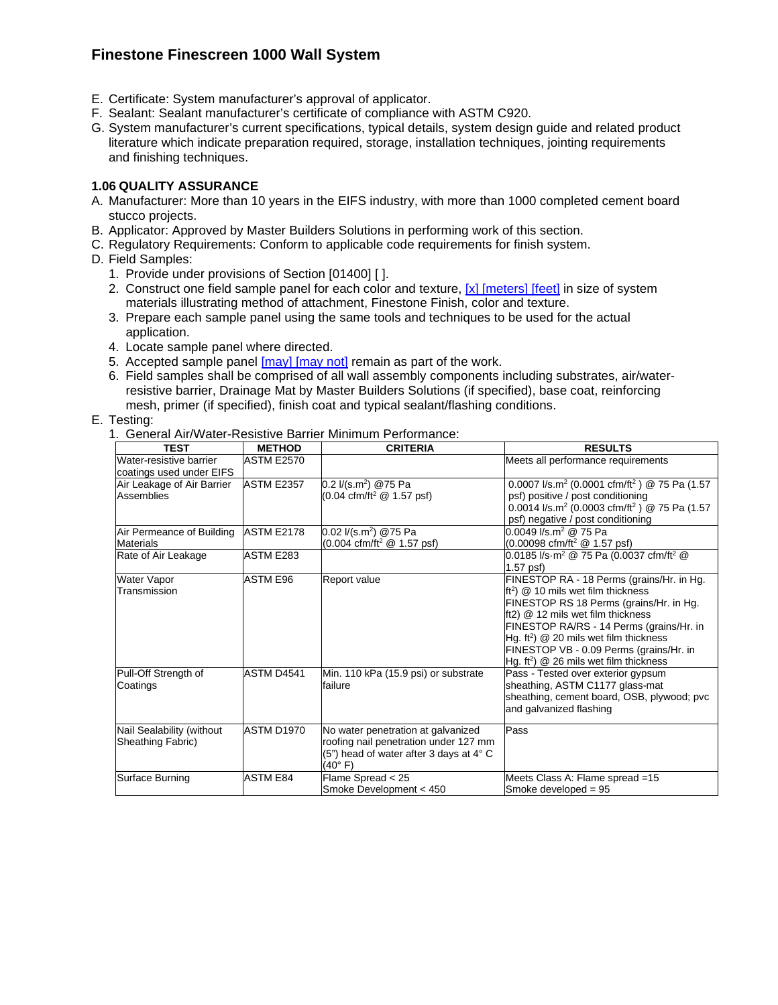- E. Certificate: System manufacturer's approval of applicator.
- F. Sealant: Sealant manufacturer's certificate of compliance with ASTM C920.
- G. System manufacturer's current specifications, typical details, system design guide and related product literature which indicate preparation required, storage, installation techniques, jointing requirements and finishing techniques.

#### **1.06 QUALITY ASSURANCE**

- A. Manufacturer: More than 10 years in the EIFS industry, with more than 1000 completed cement board stucco projects.
- B. Applicator: Approved by Master Builders Solutions in performing work of this section.
- C. Regulatory Requirements: Conform to applicable code requirements for finish system.
- D. Field Samples:
	- 1. Provide under provisions of Section [01400] [ ].
	- 2. Construct one field sample panel for each color and texture, [x] [meters] [feet] in size of system materials illustrating method of attachment, Finestone Finish, color and texture.
	- 3. Prepare each sample panel using the same tools and techniques to be used for the actual application.
	- 4. Locate sample panel where directed.
	- 5. Accepted sample panel [may] [may not] remain as part of the work.
	- 6. Field samples shall be comprised of all wall assembly components including substrates, air/waterresistive barrier, Drainage Mat by Master Builders Solutions (if specified), base coat, reinforcing mesh, primer (if specified), finish coat and typical sealant/flashing conditions.

#### E. Testing:

1. General Air/Water-Resistive Barrier Minimum Performance:

| <b>TEST</b>                                         | <b>METHOD</b>     | <b>CRITERIA</b>                                                                                                                                             | <b>RESULTS</b>                                                                                                                                                                                                                                                                                                                                                        |
|-----------------------------------------------------|-------------------|-------------------------------------------------------------------------------------------------------------------------------------------------------------|-----------------------------------------------------------------------------------------------------------------------------------------------------------------------------------------------------------------------------------------------------------------------------------------------------------------------------------------------------------------------|
| Water-resistive barrier<br>coatings used under EIFS | <b>ASTM E2570</b> |                                                                                                                                                             | Meets all performance requirements                                                                                                                                                                                                                                                                                                                                    |
| Air Leakage of Air Barrier<br><b>Assemblies</b>     | <b>ASTM E2357</b> | 0.2 $1/(s.m^2)$ @75 Pa<br>$(0.04 \text{ cfm}/\text{ft}^2 \text{ @ } 1.57 \text{ psf})$                                                                      | 0.0007 l/s.m <sup>2</sup> (0.0001 cfm/ft <sup>2</sup> ) @ 75 Pa (1.57<br>psf) positive / post conditioning<br>0.0014 l/s.m <sup>2</sup> (0.0003 cfm/ft <sup>2</sup> ) @ 75 Pa (1.57<br>psf) negative / post conditioning                                                                                                                                              |
| Air Permeance of Building<br><b>Materials</b>       | <b>ASTM E2178</b> | 0.02 $1/(s.m^2)$ @75 Pa<br>$(0.004 \text{ cfm/ft}^2 \text{ @ } 1.57 \text{ psf})$                                                                           | $0.0049$ $\sqrt{s}$ .m <sup>2</sup> @ 75 Pa<br>$(0.00098 \text{ cfm}/\text{ft}^2 \text{ @ } 1.57 \text{ psf})$                                                                                                                                                                                                                                                        |
| Rate of Air Leakage                                 | ASTM E283         |                                                                                                                                                             | 0.0185 l/s $\cdot \overline{m^2}$ @ 75 Pa (0.0037 cfm/ft <sup>2</sup> @<br>$1.57$ psf)                                                                                                                                                                                                                                                                                |
| <b>Water Vapor</b><br>Transmission                  | <b>ASTM E96</b>   | Report value                                                                                                                                                | FINESTOP RA - 18 Perms (grains/Hr. in Hg.<br>$\text{ft}^2$ ) @ 10 mils wet film thickness<br>FINESTOP RS 18 Perms (grains/Hr. in Hg.<br>ft2) @ 12 mils wet film thickness<br>FINESTOP RA/RS - 14 Perms (grains/Hr. in<br>Hg. $ft^2$ ) $@$ 20 mils wet film thickness<br>FINESTOP VB - 0.09 Perms (grains/Hr. in<br>Hg. ft <sup>2</sup> ) @ 26 mils wet film thickness |
| Pull-Off Strength of<br>Coatings                    | ASTM D4541        | Min. 110 kPa (15.9 psi) or substrate<br>failure                                                                                                             | Pass - Tested over exterior gypsum<br>sheathing, ASTM C1177 glass-mat<br>sheathing, cement board, OSB, plywood; pvc<br>and galvanized flashing                                                                                                                                                                                                                        |
| Nail Sealability (without<br>Sheathing Fabric)      | ASTM D1970        | No water penetration at galvanized<br>roofing nail penetration under 127 mm<br>(5") head of water after 3 days at $4^{\circ}$ C<br>$(40^{\circ} \text{ F})$ | Pass                                                                                                                                                                                                                                                                                                                                                                  |
| Surface Burning                                     | <b>ASTM E84</b>   | Flame Spread < 25<br>Smoke Development < 450                                                                                                                | Meets Class A: Flame spread =15<br>Smoke developed = 95                                                                                                                                                                                                                                                                                                               |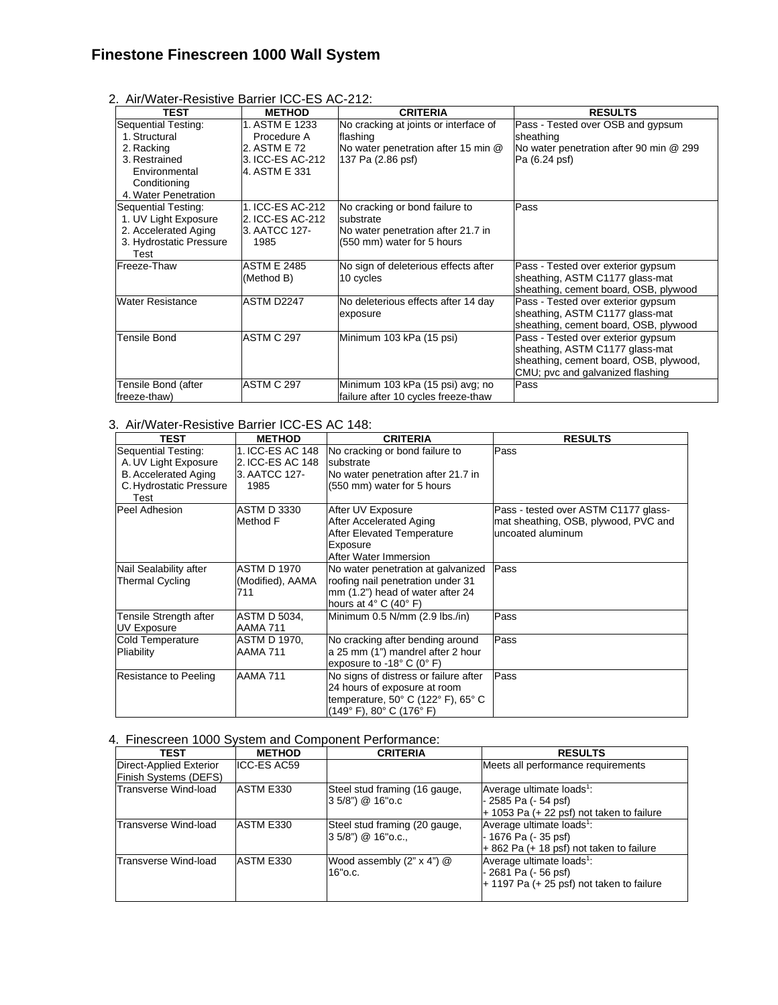| 2. Air/Water-Resistive Barrier ICC-ES AC-212: |
|-----------------------------------------------|
|-----------------------------------------------|

| <b>TEST</b>                                                                                                                  | <b>METHOD</b>                                                                      | <b>CRITERIA</b>                                                                                                 | <b>RESULTS</b>                                                                                                                                      |
|------------------------------------------------------------------------------------------------------------------------------|------------------------------------------------------------------------------------|-----------------------------------------------------------------------------------------------------------------|-----------------------------------------------------------------------------------------------------------------------------------------------------|
| Sequential Testing:<br>1. Structural<br>2. Racking<br>3. Restrained<br>Environmental<br>Conditioning<br>4. Water Penetration | 1. ASTM E 1233<br>Procedure A<br>2. ASTM E 72<br>3. ICC-ES AC-212<br>4. ASTM E 331 | No cracking at joints or interface of<br>flashing<br>No water penetration after 15 min @<br>137 Pa (2.86 psf)   | Pass - Tested over OSB and gypsum<br>sheathing<br>No water penetration after 90 min @ 299<br>Pa (6.24 psf)                                          |
| Sequential Testing:<br>1. UV Light Exposure<br>2. Accelerated Aging<br>3. Hydrostatic Pressure<br>Test                       | 1. ICC-ES AC-212<br>2. ICC-ES AC-212<br>3. AATCC 127-<br>1985                      | No cracking or bond failure to<br>substrate<br>No water penetration after 21.7 in<br>(550 mm) water for 5 hours | Pass                                                                                                                                                |
| Freeze-Thaw                                                                                                                  | <b>ASTM E 2485</b><br>(Method B)                                                   | No sign of deleterious effects after<br>10 cycles                                                               | Pass - Tested over exterior gypsum<br>sheathing, ASTM C1177 glass-mat<br>sheathing, cement board, OSB, plywood                                      |
| <b>Water Resistance</b>                                                                                                      | ASTM D2247                                                                         | No deleterious effects after 14 day<br>exposure                                                                 | Pass - Tested over exterior gypsum<br>sheathing, ASTM C1177 glass-mat<br>sheathing, cement board, OSB, plywood                                      |
| <b>Tensile Bond</b>                                                                                                          | <b>ASTM C 297</b>                                                                  | Minimum 103 kPa (15 psi)                                                                                        | Pass - Tested over exterior gypsum<br>sheathing, ASTM C1177 glass-mat<br>sheathing, cement board, OSB, plywood,<br>CMU; pvc and galvanized flashing |
| Tensile Bond (after<br>freeze-thaw)                                                                                          | ASTM C 297                                                                         | Minimum 103 kPa (15 psi) avg; no<br>failure after 10 cycles freeze-thaw                                         | Pass                                                                                                                                                |

### 3. Air/Water-Resistive Barrier ICC-ES AC 148:

| <b>TEST</b>                  | <b>METHOD</b>      | <b>CRITERIA</b>                                              | <b>RESULTS</b>                                            |
|------------------------------|--------------------|--------------------------------------------------------------|-----------------------------------------------------------|
| Sequential Testing:          | 1. ICC-ES AC 148   | No cracking or bond failure to                               | Pass                                                      |
| A. UV Light Exposure         | 2. ICC-ES AC 148   | substrate                                                    |                                                           |
| <b>B.</b> Accelerated Aging  | 3. AATCC 127-      | No water penetration after 21.7 in                           |                                                           |
| C. Hydrostatic Pressure      | 1985               | (550 mm) water for 5 hours                                   |                                                           |
| Test                         |                    |                                                              |                                                           |
| Peel Adhesion                | <b>ASTM D 3330</b> | After UV Exposure                                            | Pass - tested over ASTM C1177 glass-                      |
|                              | Method F           | After Accelerated Aging<br><b>After Elevated Temperature</b> | mat sheathing, OSB, plywood, PVC and<br>uncoated aluminum |
|                              |                    | Exposure                                                     |                                                           |
|                              |                    | After Water Immersion                                        |                                                           |
| Nail Sealability after       | <b>ASTM D 1970</b> | No water penetration at galvanized                           | Pass                                                      |
| <b>Thermal Cycling</b>       | (Modified), AAMA   | roofing nail penetration under 31                            |                                                           |
|                              | 711                | mm (1.2") head of water after 24                             |                                                           |
|                              |                    | hours at $4^{\circ}$ C (40 $^{\circ}$ F)                     |                                                           |
| Tensile Strength after       | ASTM D 5034,       | Minimum 0.5 N/mm (2.9 lbs./in)                               | Pass                                                      |
| <b>UV Exposure</b>           | AAMA 711           |                                                              |                                                           |
| <b>Cold Temperature</b>      | ASTM D 1970,       | No cracking after bending around                             | Pass                                                      |
| Pliability                   | AAMA 711           | a 25 mm (1") mandrel after 2 hour                            |                                                           |
|                              |                    | exposure to -18 $^{\circ}$ C (0 $^{\circ}$ F)                |                                                           |
| <b>Resistance to Peeling</b> | AAMA 711           | No signs of distress or failure after                        | Pass                                                      |
|                              |                    | 24 hours of exposure at room                                 |                                                           |
|                              |                    | temperature, 50° C (122° F), 65° C                           |                                                           |
|                              |                    | (149° F), 80° C (176° F)                                     |                                                           |

### 4. Finescreen 1000 System and Component Performance:

| <b>TEST</b>                                             | <b>METHOD</b> | <b>CRITERIA</b>                                         | <b>RESULTS</b>                                                                                                  |
|---------------------------------------------------------|---------------|---------------------------------------------------------|-----------------------------------------------------------------------------------------------------------------|
| <b>Direct-Applied Exterior</b><br>Finish Systems (DEFS) | ICC-ES AC59   |                                                         | Meets all performance requirements                                                                              |
| Transverse Wind-load                                    | ASTM E330     | Steel stud framing (16 gauge,<br>$3.5/8$ ") @ 16" o.c   | Average ultimate loads <sup>1</sup> :<br>- 2585 Pa (- 54 psf)<br>$+$ 1053 Pa ( $+$ 22 psf) not taken to failure |
| Transverse Wind-load                                    | ASTM E330     | Steel stud framing (20 gauge,<br>$3.5/8$ ") @ 16" o.c., | Average ultimate loads <sup>1</sup> :<br>- 1676 Pa (- 35 psf)<br>$+862$ Pa ( $+18$ psf) not taken to failure    |
| Transverse Wind-load                                    | ASTM E330     | Wood assembly $(2" \times 4")$ @<br>16"o.c.             | Average ultimate loads <sup>1</sup> :<br>- 2681 Pa (- 56 psf)<br>$+$ 1197 Pa (+ 25 psf) not taken to failure    |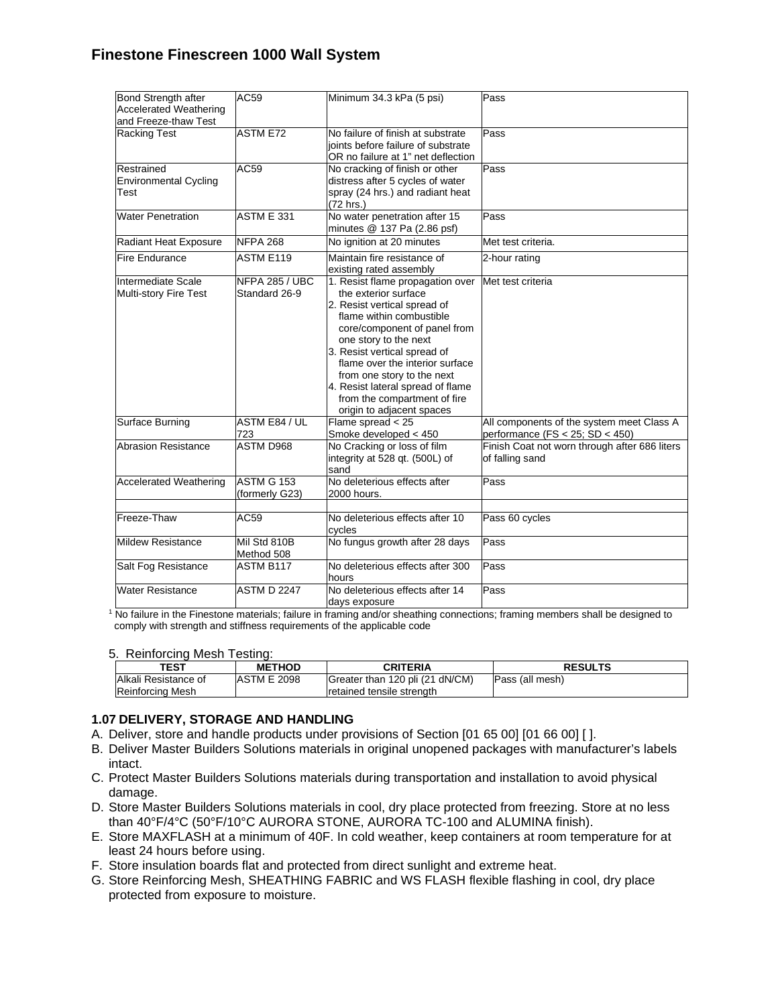| Bond Strength after<br><b>Accelerated Weathering</b> | AC59                            | Minimum 34.3 kPa (5 psi)                                                                                                                                                                                                                                                                                                                                                         | Pass                                                                             |
|------------------------------------------------------|---------------------------------|----------------------------------------------------------------------------------------------------------------------------------------------------------------------------------------------------------------------------------------------------------------------------------------------------------------------------------------------------------------------------------|----------------------------------------------------------------------------------|
| and Freeze-thaw Test<br><b>Racking Test</b>          | <b>ASTM E72</b>                 | No failure of finish at substrate<br>joints before failure of substrate<br>OR no failure at 1" net deflection                                                                                                                                                                                                                                                                    | Pass                                                                             |
| Restrained<br><b>Environmental Cycling</b><br>Test   | AC59                            | No cracking of finish or other<br>distress after 5 cycles of water<br>spray (24 hrs.) and radiant heat<br>(72 hrs.)                                                                                                                                                                                                                                                              | Pass                                                                             |
| <b>Water Penetration</b>                             | ASTM E 331                      | No water penetration after 15<br>minutes @ 137 Pa (2.86 psf)                                                                                                                                                                                                                                                                                                                     | Pass                                                                             |
| Radiant Heat Exposure                                | <b>NFPA 268</b>                 | No ignition at 20 minutes                                                                                                                                                                                                                                                                                                                                                        | Met test criteria.                                                               |
| <b>Fire Endurance</b>                                | ASTM E119                       | Maintain fire resistance of<br>existing rated assembly                                                                                                                                                                                                                                                                                                                           | 2-hour rating                                                                    |
| Intermediate Scale<br>Multi-story Fire Test          | NFPA 285 / UBC<br>Standard 26-9 | 1. Resist flame propagation over<br>the exterior surface<br>2. Resist vertical spread of<br>flame within combustible<br>core/component of panel from<br>one story to the next<br>3. Resist vertical spread of<br>flame over the interior surface<br>from one story to the next<br>4. Resist lateral spread of flame<br>from the compartment of fire<br>origin to adjacent spaces | Met test criteria                                                                |
| Surface Burning                                      | ASTM E84 / UL<br>723            | Flame spread $<$ 25<br>Smoke developed < 450                                                                                                                                                                                                                                                                                                                                     | All components of the system meet Class A<br>performance (FS $<$ 25; SD $<$ 450) |
| Abrasion Resistance                                  | <b>ASTM D968</b>                | No Cracking or loss of film<br>integrity at 528 qt. (500L) of<br>sand                                                                                                                                                                                                                                                                                                            | Finish Coat not worn through after 686 liters<br>of falling sand                 |
| <b>Accelerated Weathering</b>                        | ASTM G 153<br>(formerly G23)    | No deleterious effects after<br>2000 hours.                                                                                                                                                                                                                                                                                                                                      | Pass                                                                             |
| Freeze-Thaw                                          | AC59                            | No deleterious effects after 10<br>cycles                                                                                                                                                                                                                                                                                                                                        | Pass 60 cycles                                                                   |
| Mildew Resistance                                    | Mil Std 810B<br>Method 508      | No fungus growth after 28 days                                                                                                                                                                                                                                                                                                                                                   | Pass                                                                             |
| Salt Fog Resistance                                  | <b>ASTM B117</b>                | No deleterious effects after 300<br>hours                                                                                                                                                                                                                                                                                                                                        | Pass                                                                             |
| <b>Water Resistance</b>                              | <b>ASTM D 2247</b>              | No deleterious effects after 14<br>days exposure                                                                                                                                                                                                                                                                                                                                 | Pass                                                                             |

<sup>1</sup> No failure in the Finestone materials; failure in framing and/or sheathing connections; framing members shall be designed to comply with strength and stiffness requirements of the applicable code

#### 5. Reinforcing Mesh Testing:

| TEST                                     | <b>METHOD</b>      | CRITERIA                                                     | <b>RESULTS</b>  |
|------------------------------------------|--------------------|--------------------------------------------------------------|-----------------|
| Alkali Resistance of<br>Reinforcing Mesh | <b>ASTM E 2098</b> | Greater than 120 pli (21 dN/CM)<br>retained tensile strength | Pass (all mesh) |

#### **1.07 DELIVERY, STORAGE AND HANDLING**

- A. Deliver, store and handle products under provisions of Section [01 65 00] [01 66 00] [ ].
- B. Deliver Master Builders Solutions materials in original unopened packages with manufacturer's labels intact.
- C. Protect Master Builders Solutions materials during transportation and installation to avoid physical damage.
- D. Store Master Builders Solutions materials in cool, dry place protected from freezing. Store at no less than 40°F/4°C (50°F/10°C AURORA STONE, AURORA TC-100 and ALUMINA finish).
- E. Store MAXFLASH at a minimum of 40F. In cold weather, keep containers at room temperature for at least 24 hours before using.
- F. Store insulation boards flat and protected from direct sunlight and extreme heat.
- G. Store Reinforcing Mesh, SHEATHING FABRIC and WS FLASH flexible flashing in cool, dry place protected from exposure to moisture.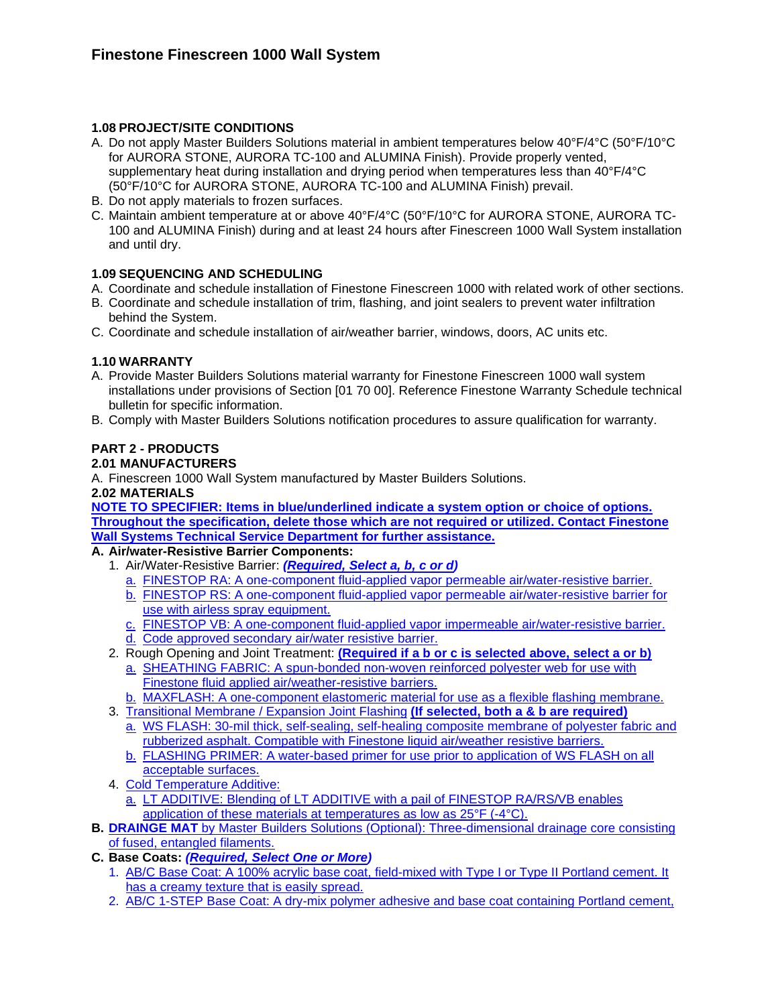### **1.08 PROJECT/SITE CONDITIONS**

- A. Do not apply Master Builders Solutions material in ambient temperatures below 40°F/4°C (50°F/10°C for AURORA STONE, AURORA TC-100 and ALUMINA Finish). Provide properly vented, supplementary heat during installation and drying period when temperatures less than 40°F/4°C (50°F/10°C for AURORA STONE, AURORA TC-100 and ALUMINA Finish) prevail.
- B. Do not apply materials to frozen surfaces.
- C. Maintain ambient temperature at or above 40°F/4°C (50°F/10°C for AURORA STONE, AURORA TC-100 and ALUMINA Finish) during and at least 24 hours after Finescreen 1000 Wall System installation and until dry.

#### **1.09 SEQUENCING AND SCHEDULING**

- A. Coordinate and schedule installation of Finestone Finescreen 1000 with related work of other sections.
- B. Coordinate and schedule installation of trim, flashing, and joint sealers to prevent water infiltration behind the System.
- C. Coordinate and schedule installation of air/weather barrier, windows, doors, AC units etc.

#### **1.10 WARRANTY**

- A. Provide Master Builders Solutions material warranty for Finestone Finescreen 1000 wall system installations under provisions of Section [01 70 00]. Reference Finestone Warranty Schedule technical bulletin for specific information.
- B. Comply with Master Builders Solutions notification procedures to assure qualification for warranty.

### **PART 2 - PRODUCTS**

#### **2.01 MANUFACTURERS**

A. Finescreen 1000 Wall System manufactured by Master Builders Solutions.

#### **2.02 MATERIALS**

**NOTE TO SPECIFIER: Items in blue/underlined indicate a system option or choice of options. Throughout the specification, delete those which are not required or utilized. Contact Finestone Wall Systems Technical Service Department for further assistance.** 

### **A. Air/water-Resistive Barrier Components:**

- 1. Air/Water-Resistive Barrier: *(Required, Select a, b, c or d)*
	- a. FINESTOP RA: A one-component fluid-applied vapor permeable air/water-resistive barrier.
	- b. FINESTOP RS: A one-component fluid-applied vapor permeable air/water-resistive barrier for use with airless spray equipment.
	- c. FINESTOP VB: A one-component fluid-applied vapor impermeable air/water-resistive barrier.
	- d. Code approved secondary air/water resistive barrier.
- 2. Rough Opening and Joint Treatment: **(Required if a b or c is selected above, select a or b)** 
	- a. SHEATHING FABRIC: A spun-bonded non-woven reinforced polyester web for use with Finestone fluid applied air/weather-resistive barriers.
	- b. MAXFLASH: A one-component elastomeric material for use as a flexible flashing membrane.
- 3. Transitional Membrane / Expansion Joint Flashing **(If selected, both a & b are required)**
	- a. WS FLASH: 30-mil thick, self-sealing, self-healing composite membrane of polyester fabric and rubberized asphalt. Compatible with Finestone liquid air/weather resistive barriers.
	- b. FLASHING PRIMER: A water-based primer for use prior to application of WS FLASH on all acceptable surfaces.
- 4. Cold Temperature Additive:
	- a. LT ADDITIVE: Blending of LT ADDITIVE with a pail of FINESTOP RA/RS/VB enables application of these materials at temperatures as low as 25°F (-4°C).
- **B. DRAINGE MAT** by Master Builders Solutions (Optional): Three-dimensional drainage core consisting of fused, entangled filaments.
- **C. Base Coats:** *(Required, Select One or More)*
	- 1. AB/C Base Coat: A 100% acrylic base coat, field-mixed with Type I or Type II Portland cement. It has a creamy texture that is easily spread.
	- 2. AB/C 1-STEP Base Coat: A dry-mix polymer adhesive and base coat containing Portland cement,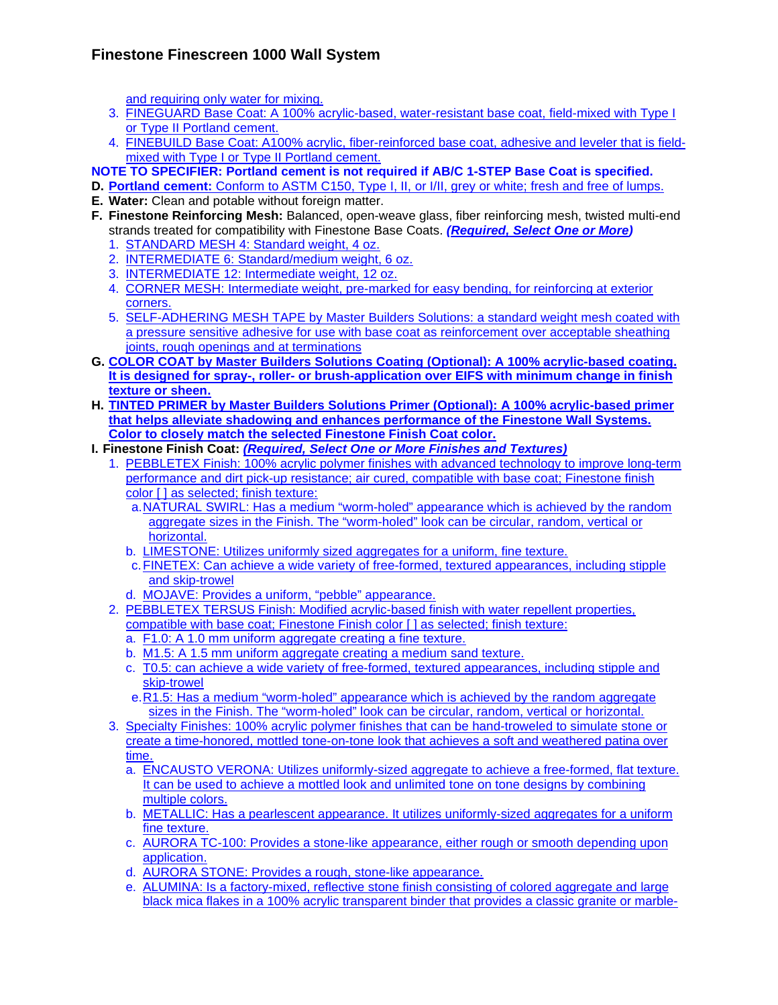and requiring only water for mixing.

- 3. FINEGUARD Base Coat: A 100% acrylic-based, water-resistant base coat, field-mixed with Type I or Type II Portland cement.
- 4. FINEBUILD Base Coat: A100% acrylic, fiber-reinforced base coat, adhesive and leveler that is fieldmixed with Type I or Type II Portland cement.

**NOTE TO SPECIFIER: Portland cement is not required if AB/C 1-STEP Base Coat is specified.** 

- **D. Portland cement:** Conform to ASTM C150, Type I, II, or I/II, grey or white; fresh and free of lumps.
- **E. Water:** Clean and potable without foreign matter.
- **F. Finestone Reinforcing Mesh:** Balanced, open-weave glass, fiber reinforcing mesh, twisted multi-end strands treated for compatibility with Finestone Base Coats. *(Required, Select One or More)*
	- 1. STANDARD MESH 4: Standard weight, 4 oz.
	- 2. INTERMEDIATE 6: Standard/medium weight, 6 oz.
	- 3. INTERMEDIATE 12: Intermediate weight, 12 oz.
	- 4. CORNER MESH: Intermediate weight, pre-marked for easy bending, for reinforcing at exterior corners.
	- 5. SELF-ADHERING MESH TAPE by Master Builders Solutions: a standard weight mesh coated with a pressure sensitive adhesive for use with base coat as reinforcement over acceptable sheathing joints, rough openings and at terminations
- **G. COLOR COAT by Master Builders Solutions Coating (Optional): A 100% acrylic-based coating. It is designed for spray-, roller- or brush-application over EIFS with minimum change in finish texture or sheen.**
- **H. TINTED PRIMER by Master Builders Solutions Primer (Optional): A 100% acrylic-based primer that helps alleviate shadowing and enhances performance of the Finestone Wall Systems. Color to closely match the selected Finestone Finish Coat color.**
- **I. Finestone Finish Coat:** *(Required, Select One or More Finishes and Textures)*
	- 1. PEBBLETEX Finish: 100% acrylic polymer finishes with advanced technology to improve long-term performance and dirt pick-up resistance; air cured, compatible with base coat; Finestone finish color [ ] as selected; finish texture:
		- a. NATURAL SWIRL: Has a medium "worm-holed" appearance which is achieved by the random aggregate sizes in the Finish. The "worm-holed" look can be circular, random, vertical or horizontal.
		- b. LIMESTONE: Utilizes uniformly sized aggregates for a uniform, fine texture.
		- c. FINETEX: Can achieve a wide variety of free-formed, textured appearances, including stipple and skip-trowel
		- d. MOJAVE: Provides a uniform, "pebble" appearance.
	- 2. PEBBLETEX TERSUS Finish: Modified acrylic-based finish with water repellent properties, compatible with base coat; Finestone Finish color [] as selected; finish texture:
		- a. F1.0: A 1.0 mm uniform aggregate creating a fine texture.
		- b. M1.5: A 1.5 mm uniform aggregate creating a medium sand texture.
		- c. T0.5: can achieve a wide variety of free-formed, textured appearances, including stipple and skip-trowel
		- e. R1.5: Has a medium "worm-holed" appearance which is achieved by the random aggregate sizes in the Finish. The "worm-holed" look can be circular, random, vertical or horizontal.
	- 3. Specialty Finishes: 100% acrylic polymer finishes that can be hand-troweled to simulate stone or create a time-honored, mottled tone-on-tone look that achieves a soft and weathered patina over time.
		- a. ENCAUSTO VERONA: Utilizes uniformly-sized aggregate to achieve a free-formed, flat texture. It can be used to achieve a mottled look and unlimited tone on tone designs by combining multiple colors.
		- b. METALLIC: Has a pearlescent appearance. It utilizes uniformly-sized aggregates for a uniform fine texture.
		- c. AURORA TC-100: Provides a stone-like appearance, either rough or smooth depending upon application.
		- d. AURORA STONE: Provides a rough, stone-like appearance.
		- e. ALUMINA: Is a factory-mixed, reflective stone finish consisting of colored aggregate and large black mica flakes in a 100% acrylic transparent binder that provides a classic granite or marble-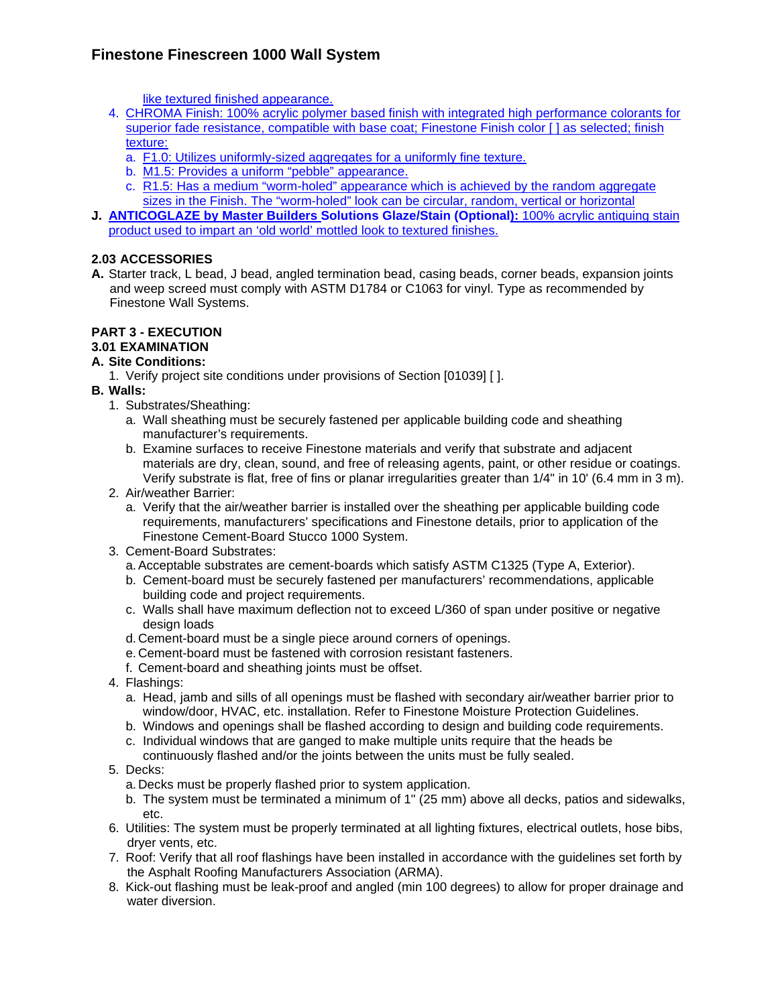like textured finished appearance.

- 4. CHROMA Finish: 100% acrylic polymer based finish with integrated high performance colorants for superior fade resistance, compatible with base coat; Finestone Finish color [ ] as selected; finish texture:
	- a. F1.0: Utilizes uniformly-sized aggregates for a uniformly fine texture.
	- b. M1.5: Provides a uniform "pebble" appearance.
	- c. R1.5: Has a medium "worm-holed" appearance which is achieved by the random aggregate sizes in the Finish. The "worm-holed" look can be circular, random, vertical or horizontal
- **J. ANTICOGLAZE by Master Builders Solutions Glaze/Stain (Optional):** 100% acrylic antiquing stain product used to impart an 'old world' mottled look to textured finishes.

# **2.03 ACCESSORIES**

**A.** Starter track, L bead, J bead, angled termination bead, casing beads, corner beads, expansion joints and weep screed must comply with ASTM D1784 or C1063 for vinyl. Type as recommended by Finestone Wall Systems.

#### **PART 3 - EXECUTION 3.01 EXAMINATION**

# **A. Site Conditions:**

- 1. Verify project site conditions under provisions of Section [01039] [ ].
- **B. Walls:** 
	- 1. Substrates/Sheathing:
		- a. Wall sheathing must be securely fastened per applicable building code and sheathing manufacturer's requirements.
		- b. Examine surfaces to receive Finestone materials and verify that substrate and adjacent materials are dry, clean, sound, and free of releasing agents, paint, or other residue or coatings. Verify substrate is flat, free of fins or planar irregularities greater than 1/4" in 10' (6.4 mm in 3 m).
	- 2. Air/weather Barrier:
		- a. Verify that the air/weather barrier is installed over the sheathing per applicable building code requirements, manufacturers' specifications and Finestone details, prior to application of the Finestone Cement-Board Stucco 1000 System.
	- 3. Cement-Board Substrates:
		- a. Acceptable substrates are cement-boards which satisfy ASTM C1325 (Type A, Exterior).
		- b. Cement-board must be securely fastened per manufacturers' recommendations, applicable building code and project requirements.
		- c. Walls shall have maximum deflection not to exceed L/360 of span under positive or negative design loads
		- d. Cement-board must be a single piece around corners of openings.
		- e. Cement-board must be fastened with corrosion resistant fasteners.
		- f. Cement-board and sheathing joints must be offset.
	- 4. Flashings:
		- a. Head, jamb and sills of all openings must be flashed with secondary air/weather barrier prior to window/door, HVAC, etc. installation. Refer to Finestone Moisture Protection Guidelines.
		- b. Windows and openings shall be flashed according to design and building code requirements.
		- c. Individual windows that are ganged to make multiple units require that the heads be continuously flashed and/or the joints between the units must be fully sealed.
	- 5. Decks:
		- a. Decks must be properly flashed prior to system application.
		- b. The system must be terminated a minimum of 1" (25 mm) above all decks, patios and sidewalks, etc.
	- 6. Utilities: The system must be properly terminated at all lighting fixtures, electrical outlets, hose bibs, dryer vents, etc.
	- 7. Roof: Verify that all roof flashings have been installed in accordance with the guidelines set forth by the Asphalt Roofing Manufacturers Association (ARMA).
	- 8. Kick-out flashing must be leak-proof and angled (min 100 degrees) to allow for proper drainage and water diversion.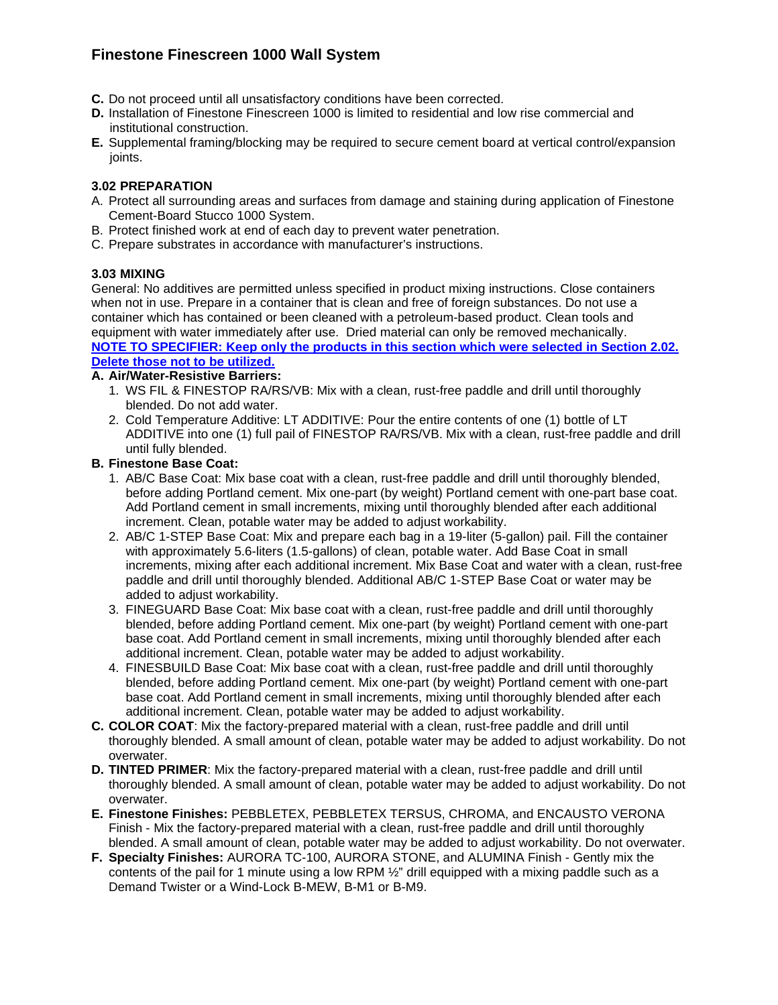- **C.** Do not proceed until all unsatisfactory conditions have been corrected.
- **D.** Installation of Finestone Finescreen 1000 is limited to residential and low rise commercial and institutional construction.
- **E.** Supplemental framing/blocking may be required to secure cement board at vertical control/expansion joints.

#### **3.02 PREPARATION**

- A. Protect all surrounding areas and surfaces from damage and staining during application of Finestone Cement-Board Stucco 1000 System.
- B. Protect finished work at end of each day to prevent water penetration.
- C. Prepare substrates in accordance with manufacturer's instructions.

#### **3.03 MIXING**

General: No additives are permitted unless specified in product mixing instructions. Close containers when not in use. Prepare in a container that is clean and free of foreign substances. Do not use a container which has contained or been cleaned with a petroleum-based product. Clean tools and equipment with water immediately after use. Dried material can only be removed mechanically. **NOTE TO SPECIFIER: Keep only the products in this section which were selected in Section 2.02. Delete those not to be utilized.**

#### **A. Air/Water-Resistive Barriers:**

- 1. WS FIL & FINESTOP RA/RS/VB: Mix with a clean, rust-free paddle and drill until thoroughly blended. Do not add water.
- 2. Cold Temperature Additive: LT ADDITIVE: Pour the entire contents of one (1) bottle of LT ADDITIVE into one (1) full pail of FINESTOP RA/RS/VB. Mix with a clean, rust-free paddle and drill until fully blended.

#### **B. Finestone Base Coat:**

- 1. AB/C Base Coat: Mix base coat with a clean, rust-free paddle and drill until thoroughly blended, before adding Portland cement. Mix one-part (by weight) Portland cement with one-part base coat. Add Portland cement in small increments, mixing until thoroughly blended after each additional increment. Clean, potable water may be added to adjust workability.
- 2. AB/C 1-STEP Base Coat: Mix and prepare each bag in a 19-liter (5-gallon) pail. Fill the container with approximately 5.6-liters (1.5-gallons) of clean, potable water. Add Base Coat in small increments, mixing after each additional increment. Mix Base Coat and water with a clean, rust-free paddle and drill until thoroughly blended. Additional AB/C 1-STEP Base Coat or water may be added to adiust workability.
- 3. FINEGUARD Base Coat: Mix base coat with a clean, rust-free paddle and drill until thoroughly blended, before adding Portland cement. Mix one-part (by weight) Portland cement with one-part base coat. Add Portland cement in small increments, mixing until thoroughly blended after each additional increment. Clean, potable water may be added to adjust workability.
- 4. FINESBUILD Base Coat: Mix base coat with a clean, rust-free paddle and drill until thoroughly blended, before adding Portland cement. Mix one-part (by weight) Portland cement with one-part base coat. Add Portland cement in small increments, mixing until thoroughly blended after each additional increment. Clean, potable water may be added to adjust workability.
- **C. COLOR COAT**: Mix the factory-prepared material with a clean, rust-free paddle and drill until thoroughly blended. A small amount of clean, potable water may be added to adjust workability. Do not overwater.
- **D. TINTED PRIMER**: Mix the factory-prepared material with a clean, rust-free paddle and drill until thoroughly blended. A small amount of clean, potable water may be added to adjust workability. Do not overwater.
- **E. Finestone Finishes:** PEBBLETEX, PEBBLETEX TERSUS, CHROMA, and ENCAUSTO VERONA Finish - Mix the factory-prepared material with a clean, rust-free paddle and drill until thoroughly blended. A small amount of clean, potable water may be added to adjust workability. Do not overwater.
- **F. Specialty Finishes:** AURORA TC-100, AURORA STONE, and ALUMINA Finish Gently mix the contents of the pail for 1 minute using a low RPM 1/2" drill equipped with a mixing paddle such as a Demand Twister or a Wind-Lock B-MEW, B-M1 or B-M9.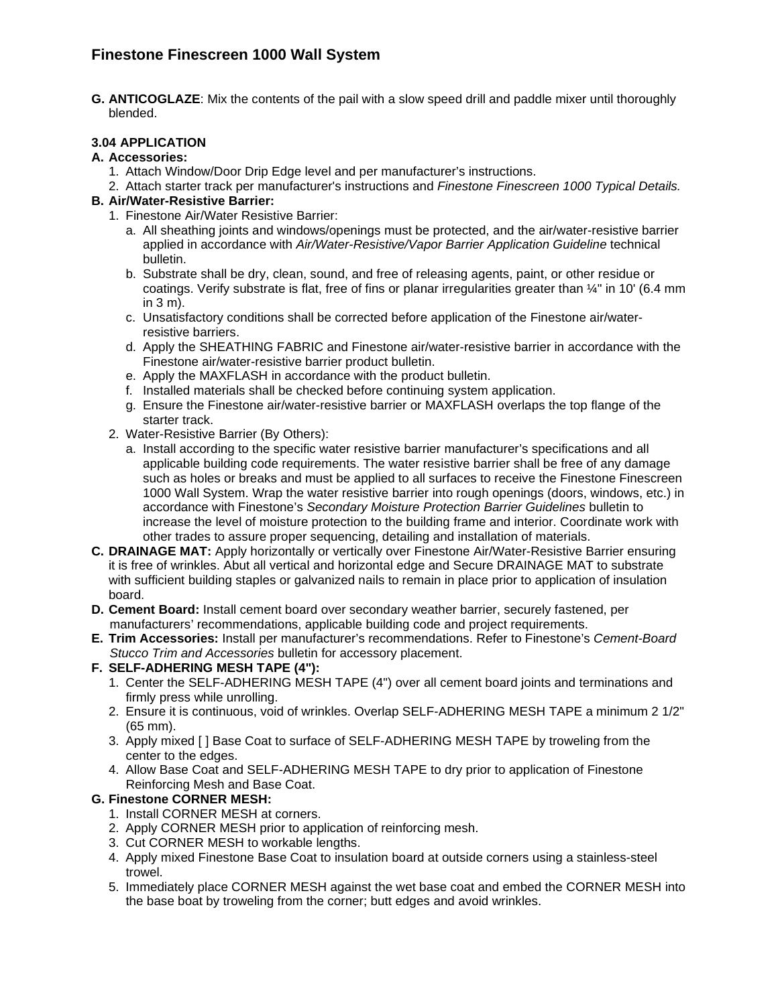**G. ANTICOGLAZE**: Mix the contents of the pail with a slow speed drill and paddle mixer until thoroughly blended.

# **3.04 APPLICATION**

### **A. Accessories:**

- 1. Attach Window/Door Drip Edge level and per manufacturer's instructions.
- 2. Attach starter track per manufacturer's instructions and *Finestone Finescreen 1000 Typical Details.*

### **B. Air/Water-Resistive Barrier:**

- 1. Finestone Air/Water Resistive Barrier:
	- a. All sheathing joints and windows/openings must be protected, and the air/water-resistive barrier applied in accordance with *Air/Water-Resistive/Vapor Barrier Application Guideline* technical bulletin.
	- b. Substrate shall be dry, clean, sound, and free of releasing agents, paint, or other residue or coatings. Verify substrate is flat, free of fins or planar irregularities greater than ¼" in 10' (6.4 mm in 3 m).
	- c. Unsatisfactory conditions shall be corrected before application of the Finestone air/waterresistive barriers.
	- d. Apply the SHEATHING FABRIC and Finestone air/water-resistive barrier in accordance with the Finestone air/water-resistive barrier product bulletin.
	- e. Apply the MAXFLASH in accordance with the product bulletin.
	- f. Installed materials shall be checked before continuing system application.
	- g. Ensure the Finestone air/water-resistive barrier or MAXFLASH overlaps the top flange of the starter track.
- 2. Water-Resistive Barrier (By Others):
	- a. Install according to the specific water resistive barrier manufacturer's specifications and all applicable building code requirements. The water resistive barrier shall be free of any damage such as holes or breaks and must be applied to all surfaces to receive the Finestone Finescreen 1000 Wall System. Wrap the water resistive barrier into rough openings (doors, windows, etc.) in accordance with Finestone's *Secondary Moisture Protection Barrier Guidelines* bulletin to increase the level of moisture protection to the building frame and interior. Coordinate work with other trades to assure proper sequencing, detailing and installation of materials.
- **C. DRAINAGE MAT:** Apply horizontally or vertically over Finestone Air/Water-Resistive Barrier ensuring it is free of wrinkles. Abut all vertical and horizontal edge and Secure DRAINAGE MAT to substrate with sufficient building staples or galvanized nails to remain in place prior to application of insulation board.
- **D. Cement Board:** Install cement board over secondary weather barrier, securely fastened, per manufacturers' recommendations, applicable building code and project requirements.
- **E. Trim Accessories:** Install per manufacturer's recommendations. Refer to Finestone's *Cement-Board Stucco Trim and Accessories* bulletin for accessory placement.

#### **F. SELF-ADHERING MESH TAPE (4"):**

- 1. Center the SELF-ADHERING MESH TAPE (4") over all cement board joints and terminations and firmly press while unrolling.
- 2. Ensure it is continuous, void of wrinkles. Overlap SELF-ADHERING MESH TAPE a minimum 2 1/2" (65 mm).
- 3. Apply mixed [ ] Base Coat to surface of SELF-ADHERING MESH TAPE by troweling from the center to the edges.
- 4. Allow Base Coat and SELF-ADHERING MESH TAPE to dry prior to application of Finestone Reinforcing Mesh and Base Coat.

# **G. Finestone CORNER MESH:**

- 1. Install CORNER MESH at corners.
- 2. Apply CORNER MESH prior to application of reinforcing mesh.
- 3. Cut CORNER MESH to workable lengths.
- 4. Apply mixed Finestone Base Coat to insulation board at outside corners using a stainless-steel trowel.
- 5. Immediately place CORNER MESH against the wet base coat and embed the CORNER MESH into the base boat by troweling from the corner; butt edges and avoid wrinkles.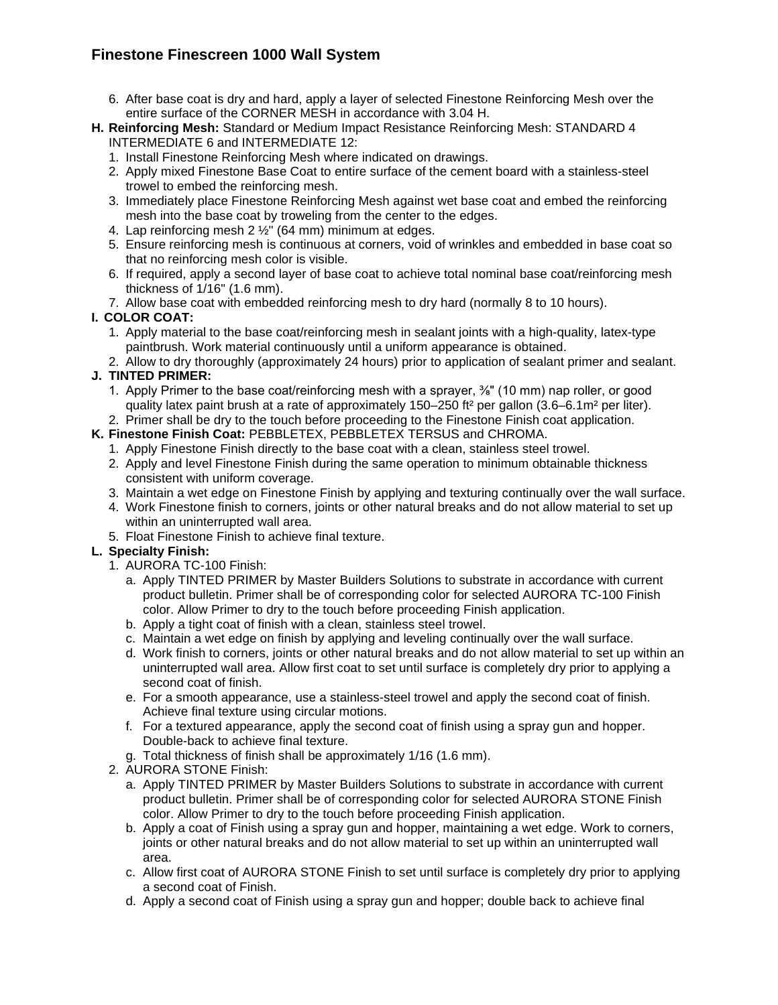- 6. After base coat is dry and hard, apply a layer of selected Finestone Reinforcing Mesh over the entire surface of the CORNER MESH in accordance with 3.04 H.
- **H. Reinforcing Mesh:** Standard or Medium Impact Resistance Reinforcing Mesh: STANDARD 4 INTERMEDIATE 6 and INTERMEDIATE 12:
	- 1. Install Finestone Reinforcing Mesh where indicated on drawings.
	- 2. Apply mixed Finestone Base Coat to entire surface of the cement board with a stainless-steel trowel to embed the reinforcing mesh.
	- 3. Immediately place Finestone Reinforcing Mesh against wet base coat and embed the reinforcing mesh into the base coat by troweling from the center to the edges.
	- 4. Lap reinforcing mesh 2  $\frac{1}{2}$ " (64 mm) minimum at edges.
	- 5. Ensure reinforcing mesh is continuous at corners, void of wrinkles and embedded in base coat so that no reinforcing mesh color is visible.
	- 6. If required, apply a second layer of base coat to achieve total nominal base coat/reinforcing mesh thickness of 1/16" (1.6 mm).
	- 7. Allow base coat with embedded reinforcing mesh to dry hard (normally 8 to 10 hours).

# **I. COLOR COAT:**

- 1. Apply material to the base coat/reinforcing mesh in sealant joints with a high-quality, latex-type paintbrush. Work material continuously until a uniform appearance is obtained.
- 2. Allow to dry thoroughly (approximately 24 hours) prior to application of sealant primer and sealant.

# **J. TINTED PRIMER:**

- 1. Apply Primer to the base coat/reinforcing mesh with a sprayer, <sup>3</sup>%" (10 mm) nap roller, or good quality latex paint brush at a rate of approximately 150–250 ft² per gallon (3.6–6.1m² per liter).
- 2. Primer shall be dry to the touch before proceeding to the Finestone Finish coat application.
- **K. Finestone Finish Coat:** PEBBLETEX, PEBBLETEX TERSUS and CHROMA. 1. Apply Finestone Finish directly to the base coat with a clean, stainless steel trowel.
	- 2. Apply and level Finestone Finish during the same operation to minimum obtainable thickness consistent with uniform coverage.
	- 3. Maintain a wet edge on Finestone Finish by applying and texturing continually over the wall surface.
	- 4. Work Finestone finish to corners, joints or other natural breaks and do not allow material to set up within an uninterrupted wall area.
	- 5. Float Finestone Finish to achieve final texture.

# **L. Specialty Finish:**

- 1. AURORA TC-100 Finish:
	- a. Apply TINTED PRIMER by Master Builders Solutions to substrate in accordance with current product bulletin. Primer shall be of corresponding color for selected AURORA TC-100 Finish color. Allow Primer to dry to the touch before proceeding Finish application.
	- b. Apply a tight coat of finish with a clean, stainless steel trowel.
	- c. Maintain a wet edge on finish by applying and leveling continually over the wall surface.
	- d. Work finish to corners, joints or other natural breaks and do not allow material to set up within an uninterrupted wall area. Allow first coat to set until surface is completely dry prior to applying a second coat of finish.
	- e. For a smooth appearance, use a stainless-steel trowel and apply the second coat of finish. Achieve final texture using circular motions.
	- f. For a textured appearance, apply the second coat of finish using a spray gun and hopper. Double-back to achieve final texture.
	- g. Total thickness of finish shall be approximately 1/16 (1.6 mm).
- 2. AURORA STONE Finish:
	- a. Apply TINTED PRIMER by Master Builders Solutions to substrate in accordance with current product bulletin. Primer shall be of corresponding color for selected AURORA STONE Finish color. Allow Primer to dry to the touch before proceeding Finish application.
	- b. Apply a coat of Finish using a spray gun and hopper, maintaining a wet edge. Work to corners, joints or other natural breaks and do not allow material to set up within an uninterrupted wall area.
	- c. Allow first coat of AURORA STONE Finish to set until surface is completely dry prior to applying a second coat of Finish.
	- d. Apply a second coat of Finish using a spray gun and hopper; double back to achieve final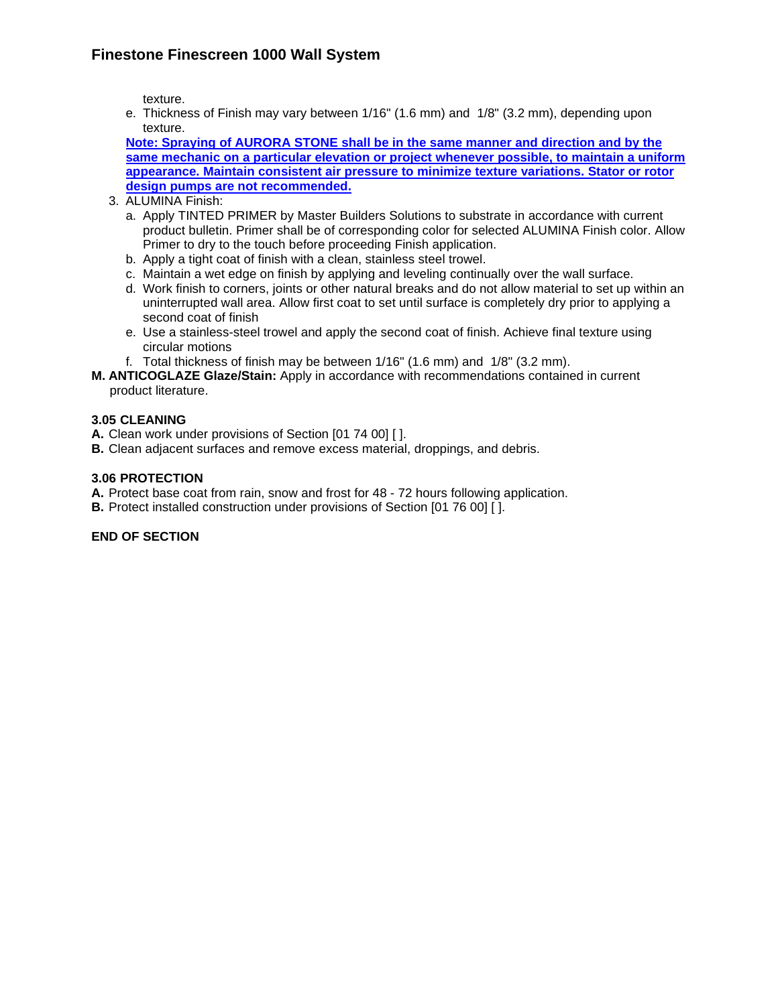texture.

e. Thickness of Finish may vary between 1/16" (1.6 mm) and 1/8" (3.2 mm), depending upon texture.

**Note: Spraying of AURORA STONE shall be in the same manner and direction and by the same mechanic on a particular elevation or project whenever possible, to maintain a uniform appearance. Maintain consistent air pressure to minimize texture variations. Stator or rotor design pumps are not recommended.** 

- 3. ALUMINA Finish:
	- a. Apply TINTED PRIMER by Master Builders Solutions to substrate in accordance with current product bulletin. Primer shall be of corresponding color for selected ALUMINA Finish color. Allow Primer to dry to the touch before proceeding Finish application.
	- b. Apply a tight coat of finish with a clean, stainless steel trowel.
	- c. Maintain a wet edge on finish by applying and leveling continually over the wall surface.
	- d. Work finish to corners, joints or other natural breaks and do not allow material to set up within an uninterrupted wall area. Allow first coat to set until surface is completely dry prior to applying a second coat of finish
	- e. Use a stainless-steel trowel and apply the second coat of finish. Achieve final texture using circular motions
	- f. Total thickness of finish may be between 1/16" (1.6 mm) and 1/8" (3.2 mm).
- **M. ANTICOGLAZE Glaze/Stain:** Apply in accordance with recommendations contained in current product literature.

### **3.05 CLEANING**

- **A.** Clean work under provisions of Section [01 74 00] [ ].
- **B.** Clean adjacent surfaces and remove excess material, droppings, and debris.

#### **3.06 PROTECTION**

**A.** Protect base coat from rain, snow and frost for 48 - 72 hours following application.

**B.** Protect installed construction under provisions of Section [01 76 00] [ ].

#### **END OF SECTION**